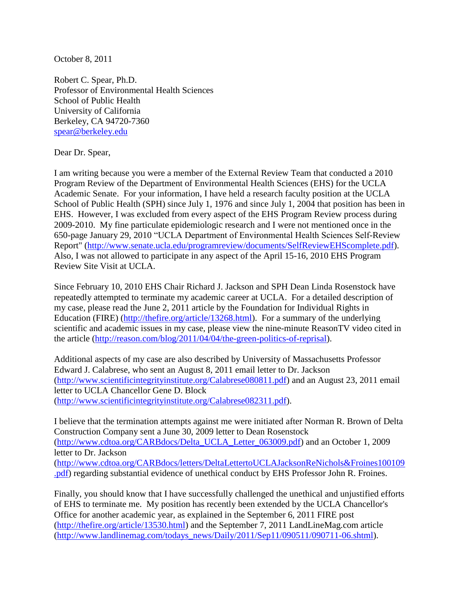October 8, 2011

Robert C. Spear, Ph.D. Professor of Environmental Health Sciences School of Public Health University of California Berkeley, CA 94720-7360 [spear@berkeley.edu](mailto:spear@berkeley.edu)

Dear Dr. Spear,

I am writing because you were a member of the External Review Team that conducted a 2010 Program Review of the Department of Environmental Health Sciences (EHS) for the UCLA Academic Senate. For your information, I have held a research faculty position at the UCLA School of Public Health (SPH) since July 1, 1976 and since July 1, 2004 that position has been in EHS. However, I was excluded from every aspect of the EHS Program Review process during 2009-2010. My fine particulate epidemiologic research and I were not mentioned once in the 650-page January 29, 2010 "UCLA Department of Environmental Health Sciences Self-Review Report" [\(http://www.senate.ucla.edu/programreview/documents/SelfReviewEHScomplete.pdf\)](http://www.senate.ucla.edu/programreview/documents/SelfReviewEHScomplete.pdf). Also, I was not allowed to participate in any aspect of the April 15-16, 2010 EHS Program Review Site Visit at UCLA.

Since February 10, 2010 EHS Chair Richard J. Jackson and SPH Dean Linda Rosenstock have repeatedly attempted to terminate my academic career at UCLA. For a detailed description of my case, please read the June 2, 2011 article by the Foundation for Individual Rights in Education (FIRE) [\(http://thefire.org/article/13268.html\)](http://thefire.org/article/13268.html). For a summary of the underlying scientific and academic issues in my case, please view the nine-minute ReasonTV video cited in the article [\(http://reason.com/blog/2011/04/04/the-green-politics-of-reprisal\)](http://reason.com/blog/2011/04/04/the-green-politics-of-reprisal).

Additional aspects of my case are also described by University of Massachusetts Professor Edward J. Calabrese, who sent an August 8, 2011 email letter to Dr. Jackson [\(http://www.scientificintegrityinstitute.org/Calabrese080811.pdf\)](http://www.scientificintegrityinstitute.org/Calabrese080811.pdf) and an August 23, 2011 email letter to UCLA Chancellor Gene D. Block [\(http://www.scientificintegrityinstitute.org/Calabrese082311.pdf\)](http://www.scientificintegrityinstitute.org/Calabrese082311.pdf).

I believe that the termination attempts against me were initiated after Norman R. Brown of Delta Construction Company sent a June 30, 2009 letter to Dean Rosenstock [\(http://www.cdtoa.org/CARBdocs/Delta\\_UCLA\\_Letter\\_063009.pdf\)](http://www.cdtoa.org/CARBdocs/Delta_UCLA_Letter_063009.pdf) and an October 1, 2009 letter to Dr. Jackson [\(http://www.cdtoa.org/CARBdocs/letters/DeltaLettertoUCLAJacksonReNichols&Froines100109](http://www.cdtoa.org/CARBdocs/letters/DeltaLettertoUCLAJacksonReNichols&Froines100109.pdf) [.pdf\)](http://www.cdtoa.org/CARBdocs/letters/DeltaLettertoUCLAJacksonReNichols&Froines100109.pdf) regarding substantial evidence of unethical conduct by EHS Professor John R. Froines.

Finally, you should know that I have successfully challenged the unethical and unjustified efforts of EHS to terminate me. My position has recently been extended by the UCLA Chancellor's Office for another academic year, as explained in the September 6, 2011 FIRE post [\(http://thefire.org/article/13530.html\)](http://thefire.org/article/13530.html) and the September 7, 2011 LandLineMag.com article [\(http://www.landlinemag.com/todays\\_news/Daily/2011/Sep11/090511/090711-06.shtml\)](http://www.landlinemag.com/todays_news/Daily/2011/Sep11/090511/090711-06.shtml).